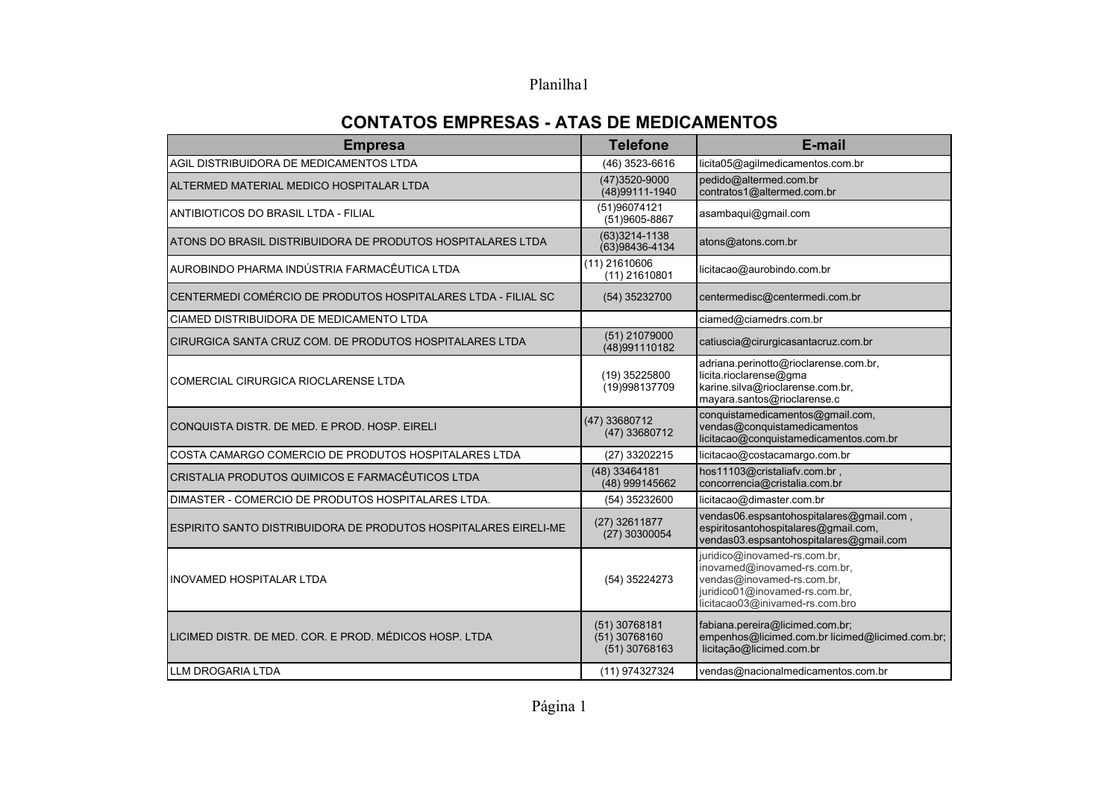## Planilha1

## **CONTATOS EMPRESAS - ATAS DE MEDICAMENTOS**

| <b>Empresa</b>                                                  | <b>Telefone</b>                                     | E-mail                                                                                                                                                          |
|-----------------------------------------------------------------|-----------------------------------------------------|-----------------------------------------------------------------------------------------------------------------------------------------------------------------|
| AGIL DISTRIBUIDORA DE MEDICAMENTOS LTDA                         | (46) 3523-6616                                      | licita05@agilmedicamentos.com.br                                                                                                                                |
| ALTERMED MATERIAL MEDICO HOSPITALAR LTDA                        | (47) 3520-9000<br>(48) 99111-1940                   | pedido@altermed.com.br<br>contratos1@altermed.com.br                                                                                                            |
| ANTIBIOTICOS DO BRASIL LTDA - FILIAL                            | (51)96074121<br>(51)9605-8867                       | asambaqui@gmail.com                                                                                                                                             |
| ATONS DO BRASIL DISTRIBUIDORA DE PRODUTOS HOSPITALARES LTDA     | $(63)3214 - 1138$<br>(63)98436-4134                 | atons@atons.com.br                                                                                                                                              |
| AUROBINDO PHARMA INDÚSTRIA FARMACÊUTICA LTDA                    | $(11)$ 21610606<br>$(11)$ 21610801                  | licitacao@aurobindo.com.br                                                                                                                                      |
| CENTERMEDI COMÉRCIO DE PRODUTOS HOSPITALARES LTDA - FILIAL SC   | (54) 35232700                                       | centermedisc@centermedi.com.br                                                                                                                                  |
| CIAMED DISTRIBUIDORA DE MEDICAMENTO LTDA                        |                                                     | ciamed@ciamedrs.com.br                                                                                                                                          |
| CIRURGICA SANTA CRUZ COM. DE PRODUTOS HOSPITALARES LTDA         | (51) 21079000<br>(48)991110182                      | catiuscia@cirurgicasantacruz.com.br                                                                                                                             |
| COMERCIAL CIRURGICA RIOCLARENSE LTDA                            | (19) 35225800<br>(19)998137709                      | adriana.perinotto@rioclarense.com.br,<br>licita.rioclarense@gma<br>karine.silva@rioclarense.com.br,<br>mayara.santos@rioclarense.c                              |
| CONQUISTA DISTR. DE MED. E PROD. HOSP. EIRELI                   | (47) 33680712<br>(47) 33680712                      | conquistamedicamentos@gmail.com,<br>vendas@conquistamedicamentos<br>licitacao@conquistamedicamentos.com.br                                                      |
| COSTA CAMARGO COMERCIO DE PRODUTOS HOSPITALARES LTDA            | (27) 33202215                                       | licitacao@costacamargo.com.br                                                                                                                                   |
| CRISTALIA PRODUTOS QUIMICOS E FARMACÊUTICOS LTDA                | (48) 33464181<br>(48) 999145662                     | hos11103@cristaliafv.com.br,<br>concorrencia@cristalia.com.br                                                                                                   |
| DIMASTER - COMERCIO DE PRODUTOS HOSPITALARES LTDA.              | (54) 35232600                                       | licitacao@dimaster.com.br                                                                                                                                       |
| ESPIRITO SANTO DISTRIBUIDORA DE PRODUTOS HOSPITALARES EIRELI-ME | (27) 32611877<br>(27) 30300054                      | vendas06.espsantohospitalares@gmail.com,<br>espiritosantohospitalares@gmail.com,<br>vendas03.espsantohospitalares@gmail.com                                     |
| <b>INOVAMED HOSPITALAR LTDA</b>                                 | (54) 35224273                                       | juridico@inovamed-rs.com.br,<br>inovamed@inovamed-rs.com.br,<br>vendas@inovamed-rs.com.br,<br>juridico01@inovamed-rs.com.br,<br>licitacao03@inivamed-rs.com.bro |
| ILICIMED DISTR. DE MED. COR. E PROD. MÉDICOS HOSP. LTDA         | $(51)$ 30768181<br>$(51)$ 30768160<br>(51) 30768163 | fabiana.pereira@licimed.com.br;<br>empenhos@licimed.com.br licimed@licimed.com.br;<br>licitação@licimed.com.br                                                  |
| LLM DROGARIA LTDA                                               | (11) 974327324                                      | vendas@nacionalmedicamentos.com.br                                                                                                                              |